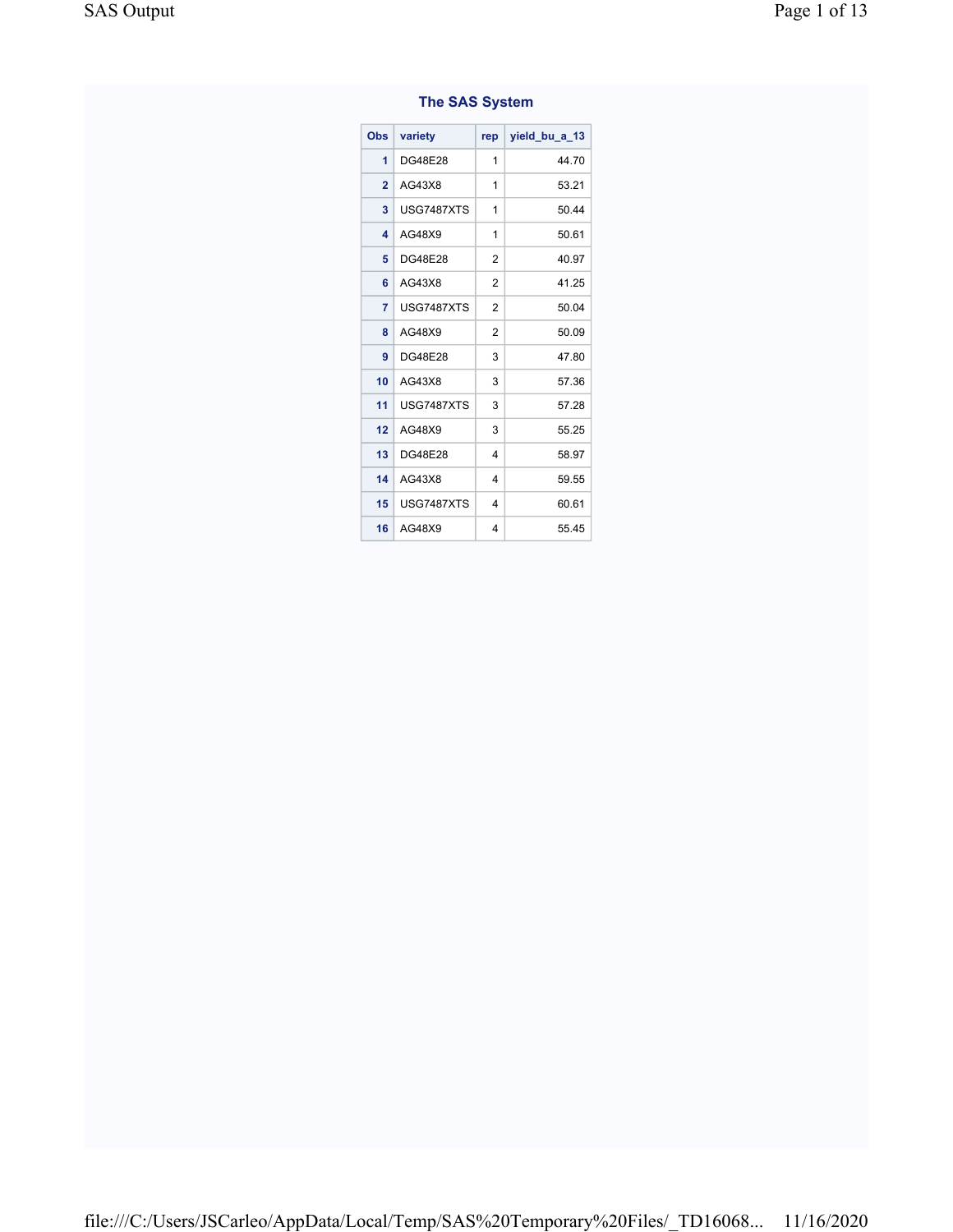| The SAS System          |                   |                |               |  |
|-------------------------|-------------------|----------------|---------------|--|
| Obs                     | variety           | rep            | yield bu a 13 |  |
| 1                       | DG48E28           | 1              | 44.70         |  |
| $\overline{2}$          | AG43X8            | 1              | 53.21         |  |
| 3                       | USG7487XTS        | 1              | 50.44         |  |
| $\overline{\mathbf{A}}$ | AG48X9            | 1              | 50.61         |  |
| 5                       | <b>DG48E28</b>    | $\overline{2}$ | 40.97         |  |
| 6                       | AG43X8            | $\overline{2}$ | 41.25         |  |
| $\overline{7}$          | <b>USG7487XTS</b> | $\overline{2}$ | 50.04         |  |
| 8                       | AG48X9            | 2              | 50.09         |  |
| 9                       | DG48E28           | 3              | 47.80         |  |
| 10                      | AG43X8            | 3              | 57.36         |  |
| 11                      | <b>USG7487XTS</b> | 3              | 57.28         |  |
| 12                      | AG48X9            | 3              | 55.25         |  |
| 13                      | DG48E28           | 4              | 58.97         |  |
| 14                      | AG43X8            | 4              | 59.55         |  |
| 15                      | <b>USG7487XTS</b> | 4              | 60.61         |  |
| 16                      | AG48X9            | 4              | 55.45         |  |

### The SAS System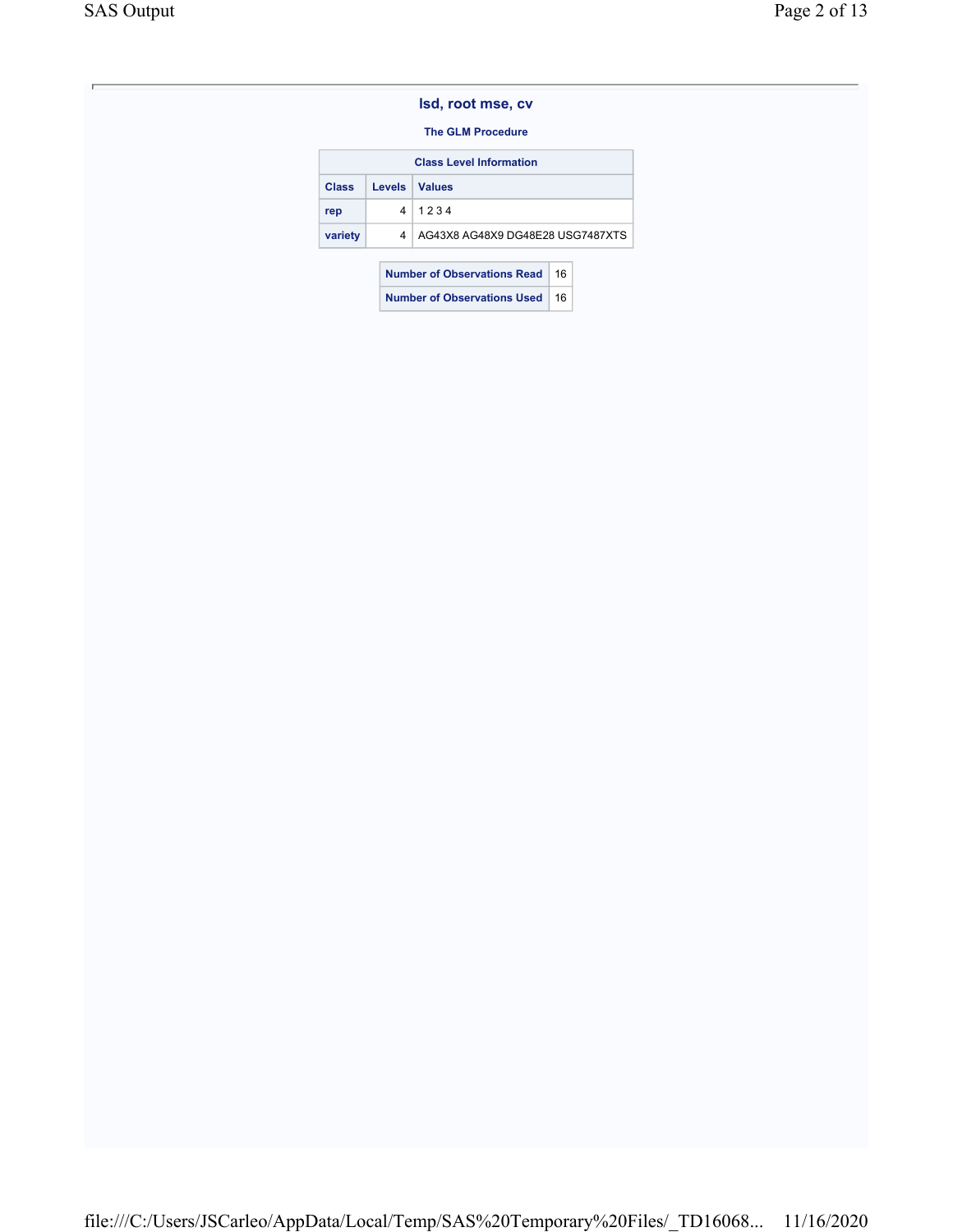### The GLM Procedure

| <b>Class Level Information</b> |                                          |                                  |  |  |  |
|--------------------------------|------------------------------------------|----------------------------------|--|--|--|
| Class                          | <b>Levels</b>                            | <b>Values</b>                    |  |  |  |
| rep                            | 4                                        | 1234                             |  |  |  |
| variety                        | 4                                        | AG43X8 AG48X9 DG48E28 USG7487XTS |  |  |  |
|                                |                                          |                                  |  |  |  |
|                                | <b>Number of Observations Read</b><br>16 |                                  |  |  |  |
|                                | Number of Observations Used              |                                  |  |  |  |
|                                |                                          |                                  |  |  |  |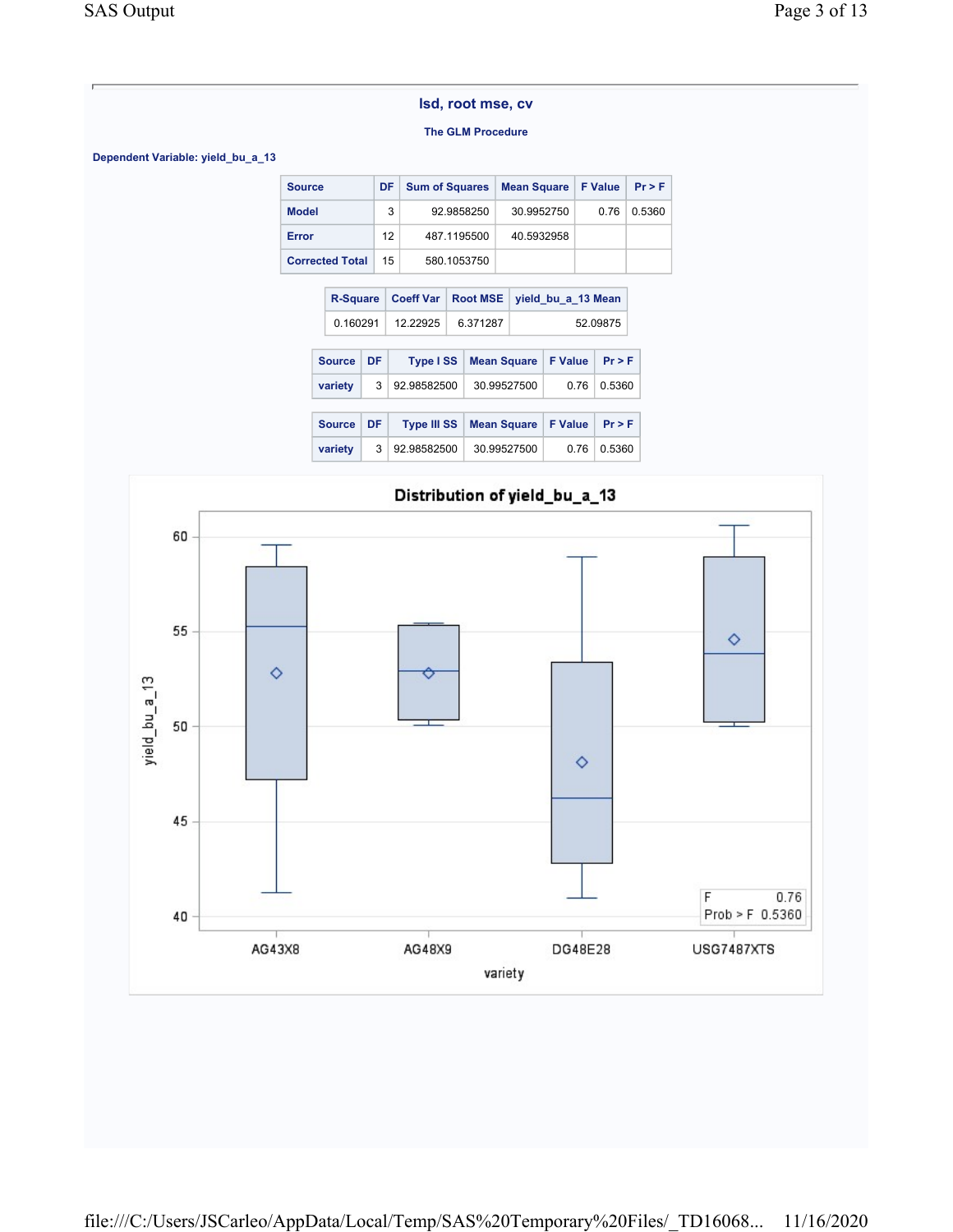#### The GLM Procedure

Dependent Variable: yield\_bu\_a\_13

| <b>Source</b>          | DF. | <b>Sum of Squares</b> | Mean Square   F Value |      | Pr > F |
|------------------------|-----|-----------------------|-----------------------|------|--------|
| <b>Model</b>           | 3   | 92.9858250            | 30.9952750            | 0.76 | 0.5360 |
| Error                  | 12  | 487.1195500           | 40.5932958            |      |        |
| <b>Corrected Total</b> | 15  | 580.1053750           |                       |      |        |

|                                                        | <b>R-Square</b> |    | <b>Coeff Var</b>   |          | <b>Root MSE</b>    | yield bu a 13 Mean |                |        |  |
|--------------------------------------------------------|-----------------|----|--------------------|----------|--------------------|--------------------|----------------|--------|--|
|                                                        | 0.160291        |    | 12.22925           | 6.371287 |                    |                    | 52.09875       |        |  |
| DF.<br><b>Source</b><br>Type ISS<br><b>Mean Square</b> |                 |    | <b>F</b> Value     | Pr > F   |                    |                    |                |        |  |
|                                                        | variety         | 3  | 92.98582500        |          | 30.99527500        |                    | 0.76           | 0.5360 |  |
|                                                        | <b>Source</b>   | DF | <b>Type III SS</b> |          | <b>Mean Square</b> |                    | <b>F</b> Value | Pr > F |  |
|                                                        | variety         | 3  | 92.98582500        |          | 30.99527500        |                    | 0.76           | 0.5360 |  |

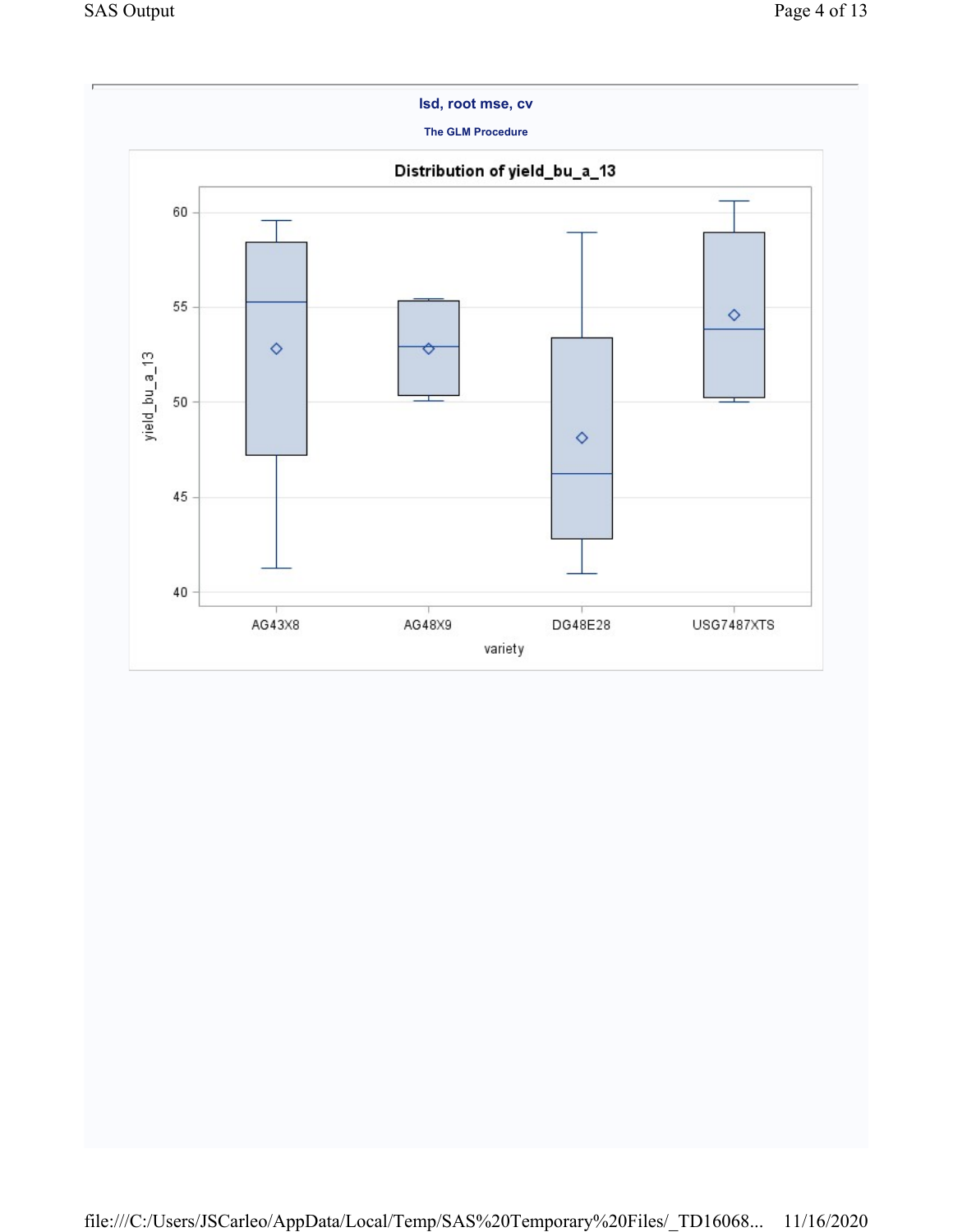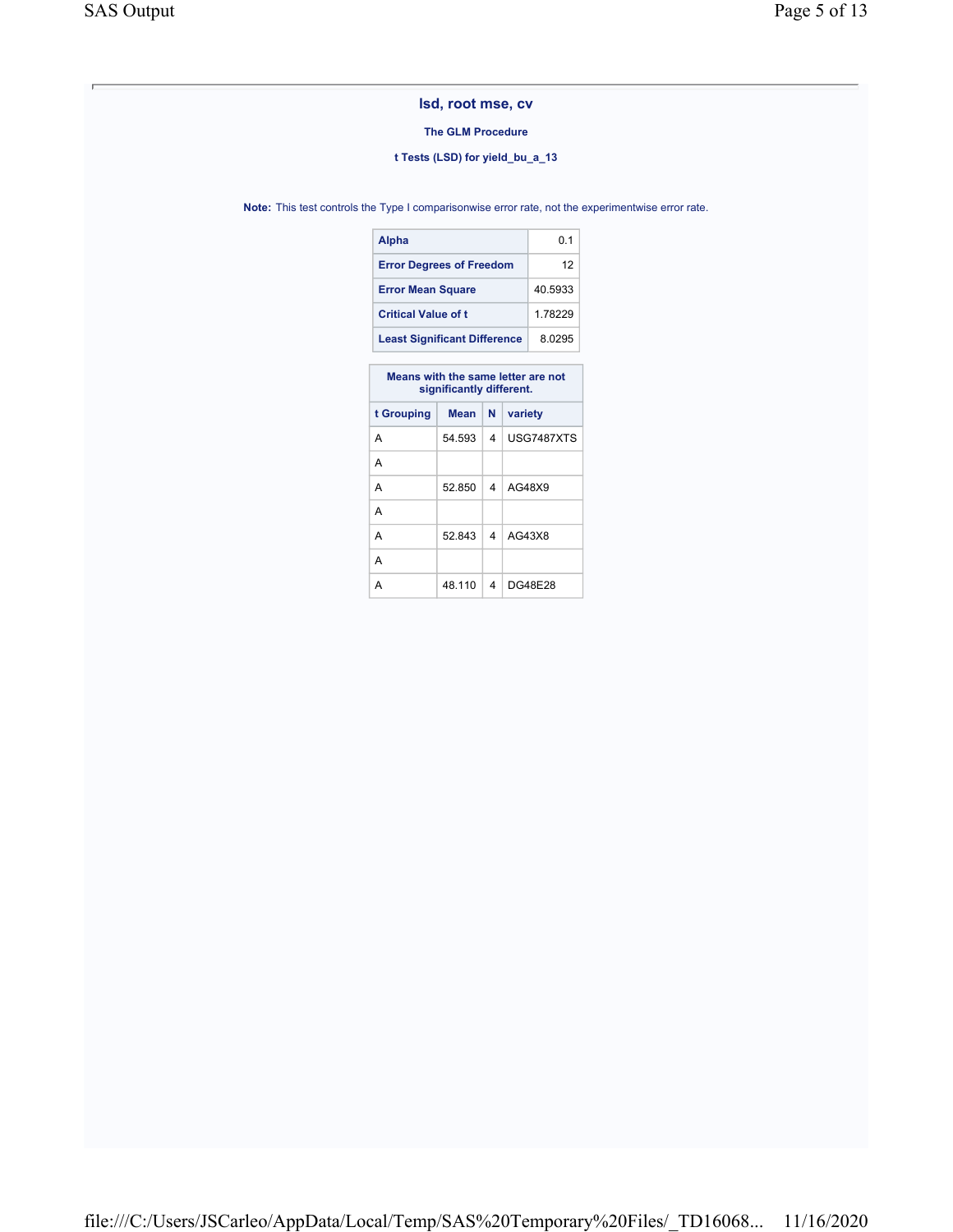### The GLM Procedure

### t Tests (LSD) for yield\_bu\_a\_13

Note: This test controls the Type I comparisonwise error rate, not the experimentwise error rate.

| Alpha                               | 0 1     |
|-------------------------------------|---------|
| <b>Error Degrees of Freedom</b>     | 12      |
| <b>Error Mean Square</b>            | 40 5933 |
| <b>Critical Value of t</b>          | 178229  |
| <b>Least Significant Difference</b> | 8 0295  |

| Means with the same letter are not<br>significantly different. |        |   |            |  |  |  |
|----------------------------------------------------------------|--------|---|------------|--|--|--|
| t Grouping                                                     | Mean   | N | variety    |  |  |  |
| A                                                              | 54.593 | 4 | USG7487XTS |  |  |  |
| A                                                              |        |   |            |  |  |  |
| A                                                              | 52.850 | 4 | AG48X9     |  |  |  |
| А                                                              |        |   |            |  |  |  |
| A                                                              | 52.843 | 4 | AG43X8     |  |  |  |
| А                                                              |        |   |            |  |  |  |
| А                                                              | 48 110 | 4 | DG48E28    |  |  |  |

file:///C:/Users/JSCarleo/AppData/Local/Temp/SAS%20Temporary%20Files/\_TD16068... 11/16/2020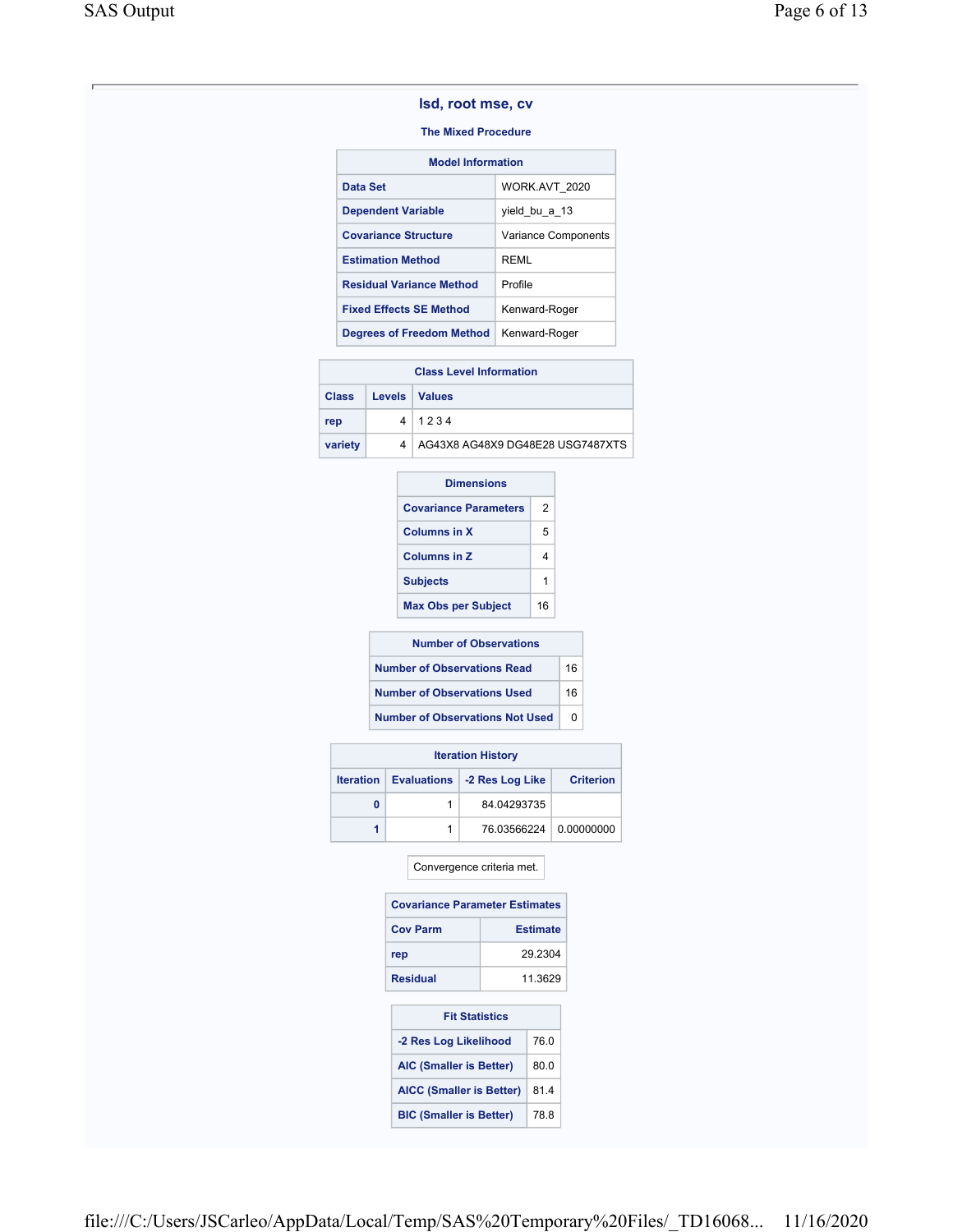#### The Mixed Procedure

| <b>Model Information</b>         |                     |  |  |  |
|----------------------------------|---------------------|--|--|--|
| Data Set                         | WORK.AVT 2020       |  |  |  |
| <b>Dependent Variable</b>        | yield bu a 13       |  |  |  |
| <b>Covariance Structure</b>      | Variance Components |  |  |  |
| <b>Estimation Method</b>         | RFMI                |  |  |  |
| <b>Residual Variance Method</b>  | Profile             |  |  |  |
| <b>Fixed Effects SE Method</b>   | Kenward-Roger       |  |  |  |
| <b>Degrees of Freedom Method</b> | Kenward-Roger       |  |  |  |

|         | <b>Class Level Information</b> |                                  |  |
|---------|--------------------------------|----------------------------------|--|
| Class   | Levels   Values                |                                  |  |
| rep     |                                | 41234                            |  |
| variety |                                | AG43X8 AG48X9 DG48E28 USG7487XTS |  |

| <b>Dimensions</b>            |    |  |  |
|------------------------------|----|--|--|
| <b>Covariance Parameters</b> | 2  |  |  |
| Columns in X                 | 5  |  |  |
| Columns in Z                 |    |  |  |
| <b>Subjects</b>              |    |  |  |
| <b>Max Obs per Subject</b>   | 16 |  |  |
|                              |    |  |  |

| <b>Number of Observations</b>          |    |  |
|----------------------------------------|----|--|
| <b>Number of Observations Read</b>     | 16 |  |
| <b>Number of Observations Used</b>     | 16 |  |
| <b>Number of Observations Not Used</b> |    |  |

|   | <b>Iteration History</b>                         |                  |
|---|--------------------------------------------------|------------------|
|   | <b>Iteration   Evaluations   -2 Res Log Like</b> | <b>Criterion</b> |
| 0 | 84.04293735                                      |                  |
|   | 76.03566224                                      | 0.00000000       |

### Convergence criteria met.

|                 | <b>Covariance Parameter Estimates</b> |  |  |  |  |
|-----------------|---------------------------------------|--|--|--|--|
| <b>Cov Parm</b> | <b>Estimate</b>                       |  |  |  |  |
| rep             | 29.2304                               |  |  |  |  |
| <b>Residual</b> | 11 3629                               |  |  |  |  |

| <b>Fit Statistics</b>           |      |  |  |  |  |  |  |
|---------------------------------|------|--|--|--|--|--|--|
| -2 Res Log Likelihood           | 76.0 |  |  |  |  |  |  |
| <b>AIC (Smaller is Better)</b>  | 80.0 |  |  |  |  |  |  |
| <b>AICC (Smaller is Better)</b> | 814  |  |  |  |  |  |  |
| <b>BIC (Smaller is Better)</b>  | 78.8 |  |  |  |  |  |  |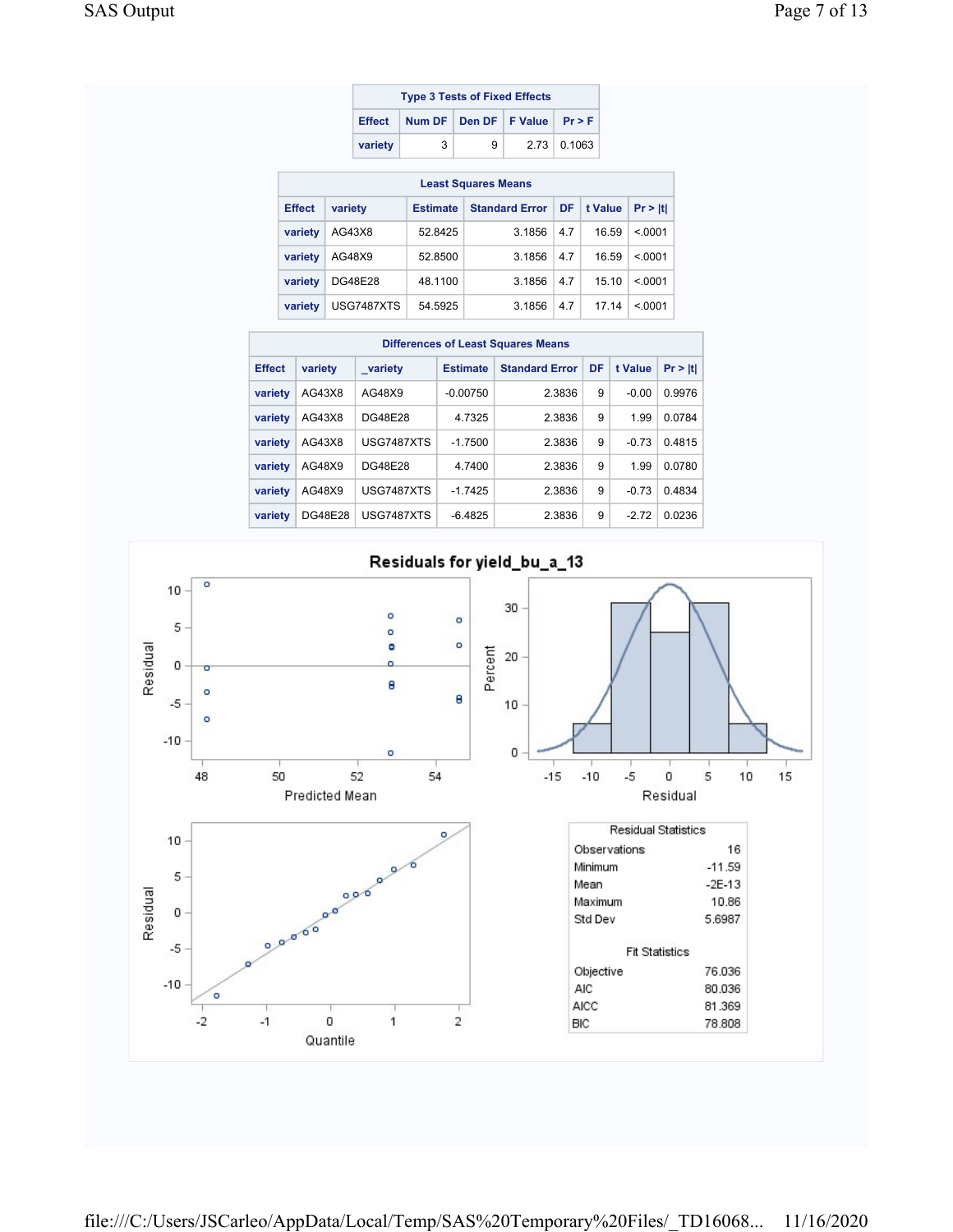| <b>Type 3 Tests of Fixed Effects</b> |   |                                      |  |                   |  |  |  |  |
|--------------------------------------|---|--------------------------------------|--|-------------------|--|--|--|--|
| Effect                               |   | Num DF   Den DF   F Value   $Pr > F$ |  |                   |  |  |  |  |
| variety                              | 3 | 9                                    |  | $2.73 \pm 0.1063$ |  |  |  |  |

| <b>Least Squares Means</b> |            |                 |                       |     |         |         |  |  |  |  |
|----------------------------|------------|-----------------|-----------------------|-----|---------|---------|--|--|--|--|
| <b>Effect</b>              | variety    | <b>Estimate</b> | <b>Standard Error</b> | DF  | t Value | Pr >  t |  |  |  |  |
| variety                    | AG43X8     | 52.8425         | 3.1856                | 4.7 | 16.59   | < 0.001 |  |  |  |  |
| variety                    | AG48X9     | 52.8500         | 3.1856                | 4.7 | 16.59   | < 0.001 |  |  |  |  |
| variety                    | DG48E28    | 48.1100         | 3.1856                | 4.7 | 15.10   | < 0.001 |  |  |  |  |
| variety                    | USG7487XTS | 54.5925         | 3.1856                | 4.7 | 17 14   | < 0.001 |  |  |  |  |

|               | <b>Differences of Least Squares Means</b> |                   |                 |                       |    |         |         |  |  |  |  |
|---------------|-------------------------------------------|-------------------|-----------------|-----------------------|----|---------|---------|--|--|--|--|
| <b>Effect</b> | variety                                   | variety           | <b>Estimate</b> | <b>Standard Error</b> | DF | t Value | Pr >  t |  |  |  |  |
| variety       | AG43X8                                    | AG48X9            | $-0.00750$      | 2.3836                | 9  | $-0.00$ | 0.9976  |  |  |  |  |
| variety       | AG43X8                                    | DG48E28           | 4.7325          | 2.3836                | 9  | 1.99    | 0.0784  |  |  |  |  |
| variety       | AG43X8                                    | USG7487XTS        | $-1.7500$       | 2.3836                | 9  | $-0.73$ | 0.4815  |  |  |  |  |
| variety       | AG48X9                                    | DG48E28           | 4.7400          | 2.3836                | 9  | 1.99    | 0.0780  |  |  |  |  |
| variety       | AG48X9                                    | <b>USG7487XTS</b> | $-1.7425$       | 2.3836                | 9  | $-0.73$ | 0.4834  |  |  |  |  |
| variety       | DG48E28                                   | <b>USG7487XTS</b> | $-6.4825$       | 2.3836                | 9  | $-2.72$ | 0.0236  |  |  |  |  |



file:///C:/Users/JSCarleo/AppData/Local/Temp/SAS%20Temporary%20Files/\_TD16068... 11/16/2020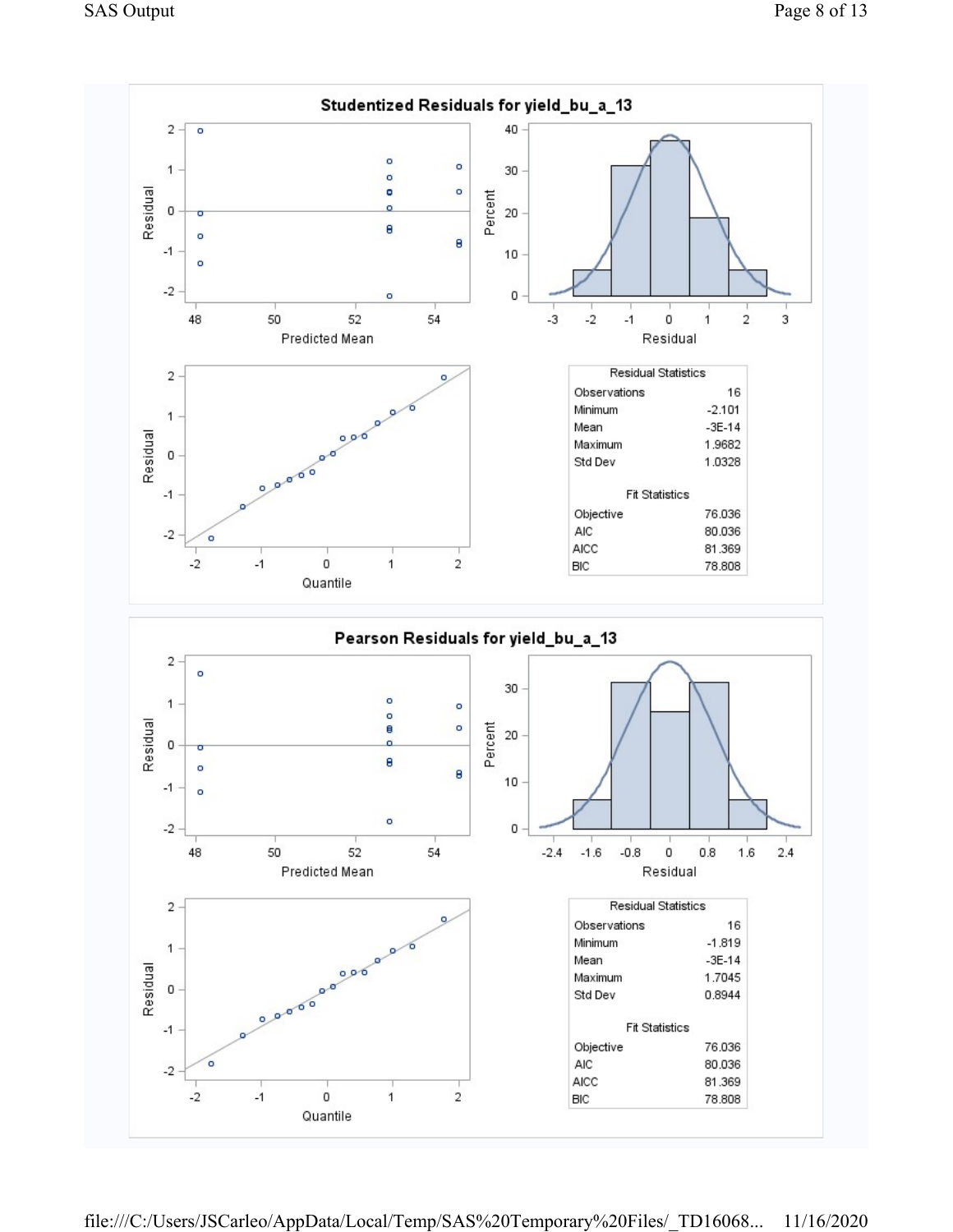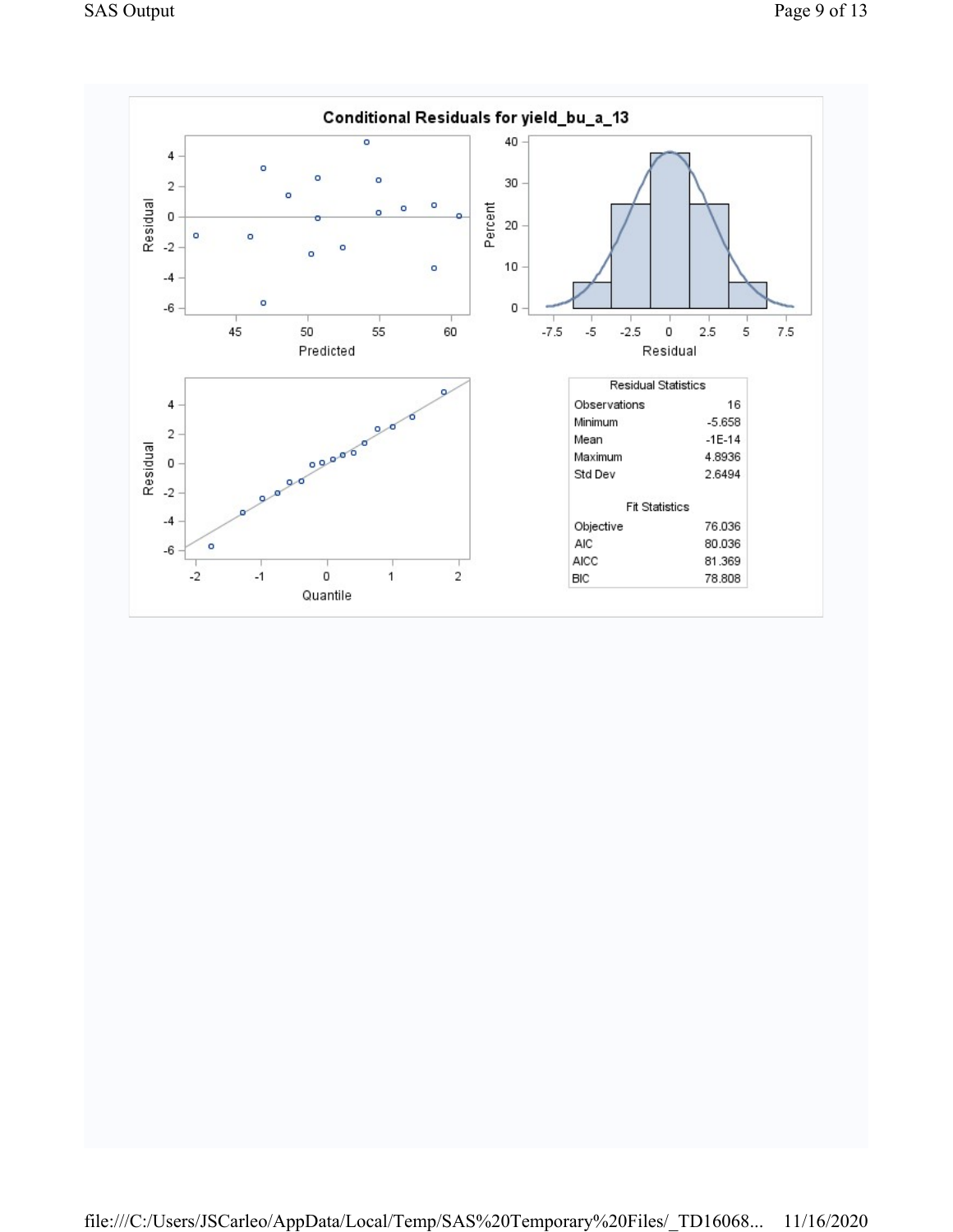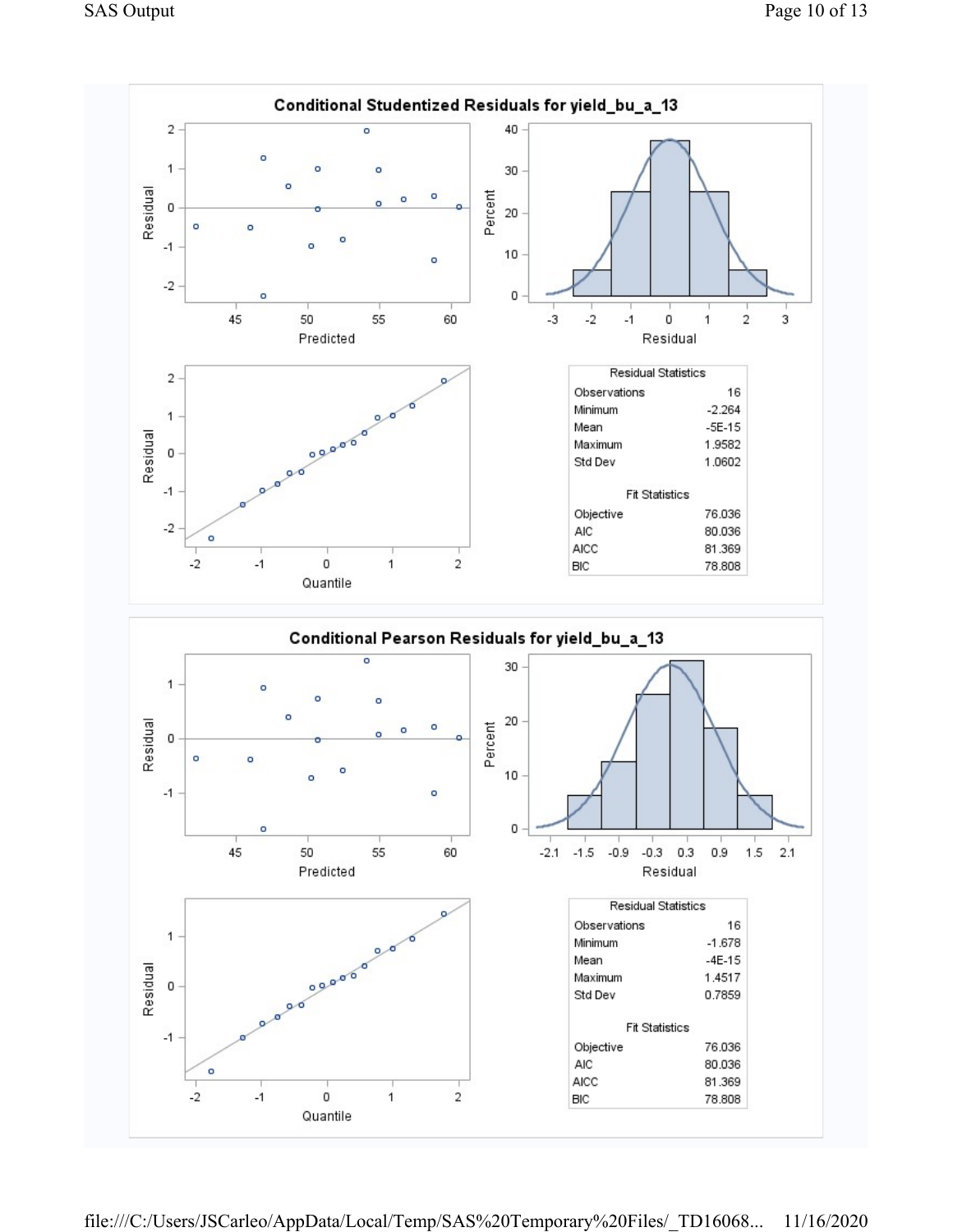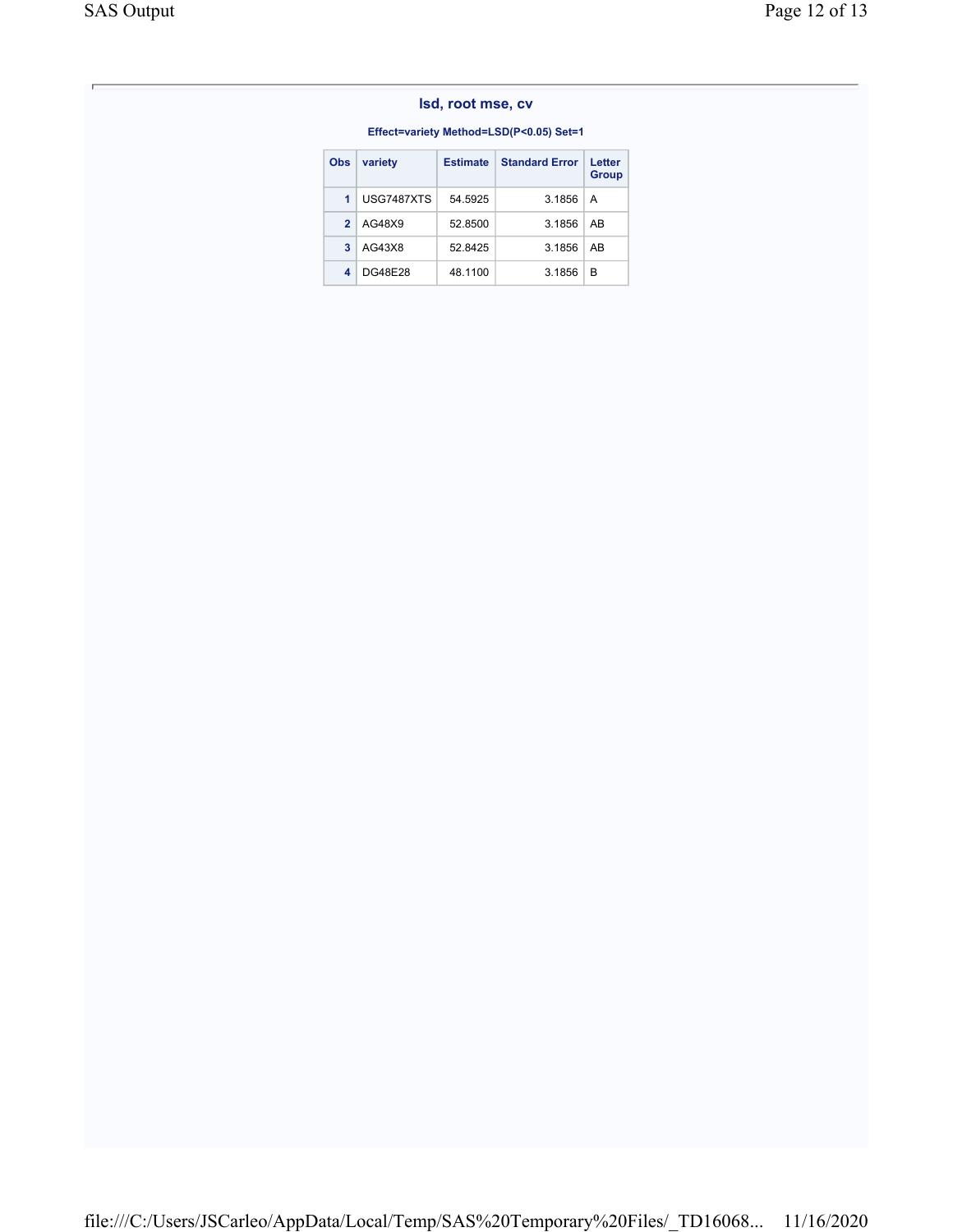### Effect=variety Method=LSD(P<0.05) Set=1

| <b>Obs</b>     | variety    | <b>Estimate</b> | <b>Standard Error</b> | Letter<br><b>Group</b> |
|----------------|------------|-----------------|-----------------------|------------------------|
| 1 <sup>1</sup> | USG7487XTS | 54.5925         | 3.1856                | A                      |
| 2 <sup>1</sup> | AG48X9     | 52.8500         | 3.1856                | AB                     |
| 3              | AG43X8     | 52.8425         | 3.1856                | AB                     |
| 4              | DG48E28    | 48.1100         | 3.1856                | в                      |